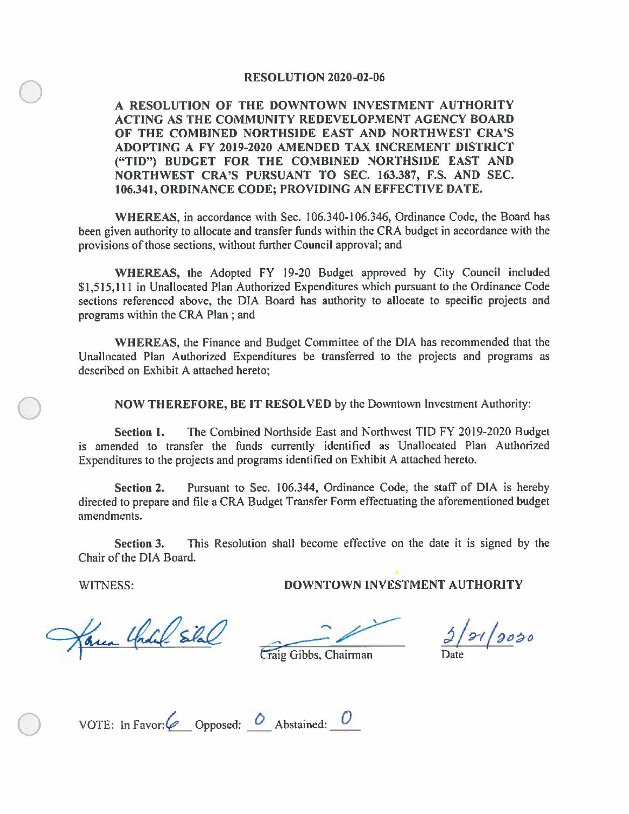## **RESOLUTION 2020-02-06**

0 **A RESOLUTION OF THE DOWNTOWN INVESTMENT AUTHORITY ACTING AS THE COMMUNITY REDEVELOPMENT AGENCY BOARD OF THE COMBINED NORTHSIDE EAST AND NORTHWEST CRA'S ADOPTING A FY 2019-2020 AMENDED TAX INCREMENT DISTRICT ("TID") BUDGET FOR THE COMBINED NORTHSIDE EAST AND NORTHWEST CRA'S PURSUANT TO SEC. 163.387, F.S. AND SEC. 106.341, ORDINANCE CODE; PROVIDING AN EFFECTIVE DATE.** 

**WHEREAS,** in accordance with Sec. 106.340-106.346, Ordinance Code, the Board has been given authority to allocate and transfer funds within the CRA budget in accordance with the provisions of those sections, without further Council approval; and

**WHEREAS,** the Adopted FY 19-20 Budget approved by City Council included \$1,515, 111 in Unallocated Plan Authorized Expenditures which pursuant to the Ordinance Code sections referenced above, the DIA Board has authority to allocate to specific projects and programs within the CRA Plan ; and

**WHEREAS,** the Finance and Budget Committee of the DIA has recommended that the Unallocated Plan Authorized Expenditures be transferred to the projects and programs as described on Exhibit A attached hereto;

0 **NOW THEREFORE, BE** IT **RESOLVED** by the Downtown Investment Authority:

**Section 1.** The Combined Northside East and Northwest TIO FY 2019-2020 Budget is amended to transfer the funds currently identified as Unallocated Plan Authorized Expenditures to the projects and programs identified on Exhibit A attached hereto.

**Section 2.** Pursuant to Sec. 106.344, Ordinance Code, the staff of DIA is hereby directed to prepare and file a CRA Budget Transfer Form effectuating the aforementioned budget amendments.

**Section 3.** This Resolution shall become effective on the date it is signed by the Chair of the DIA Board.

WITNESS: **DOWNTOWN INVESTMENT AUTHORITY** 

area Charle silal

 $3/21/2020$ 

Craig Gibbs, Chairman

| VOTE: In Favor: $\oslash$ Opposed: $\oslash$ Abstained: |  |  |
|---------------------------------------------------------|--|--|
|                                                         |  |  |